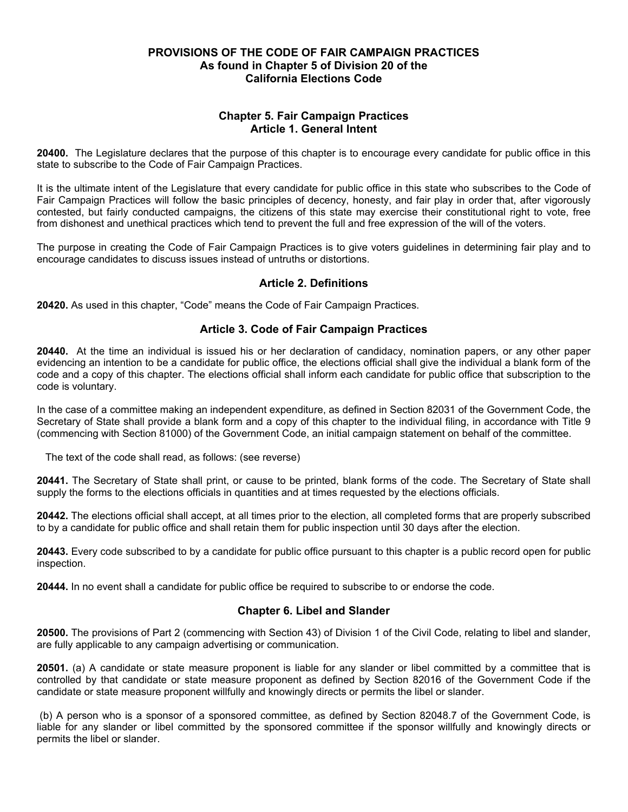## **PROVISIONS OF THE CODE OF FAIR CAMPAIGN PRACTICES As found in Chapter 5 of Division 20 of the California Elections Code**

# **Chapter 5. Fair Campaign Practices Article 1. General Intent**

**20400.** The Legislature declares that the purpose of this chapter is to encourage every candidate for public office in this state to subscribe to the Code of Fair Campaign Practices.

It is the ultimate intent of the Legislature that every candidate for public office in this state who subscribes to the Code of Fair Campaign Practices will follow the basic principles of decency, honesty, and fair play in order that, after vigorously contested, but fairly conducted campaigns, the citizens of this state may exercise their constitutional right to vote, free from dishonest and unethical practices which tend to prevent the full and free expression of the will of the voters.

The purpose in creating the Code of Fair Campaign Practices is to give voters guidelines in determining fair play and to encourage candidates to discuss issues instead of untruths or distortions.

## **Article 2. Definitions**

**20420.** As used in this chapter, "Code" means the Code of Fair Campaign Practices.

### **Article 3. Code of Fair Campaign Practices**

**20440.** At the time an individual is issued his or her declaration of candidacy, nomination papers, or any other paper evidencing an intention to be a candidate for public office, the elections official shall give the individual a blank form of the code and a copy of this chapter. The elections official shall inform each candidate for public office that subscription to the code is voluntary.

In the case of a committee making an independent expenditure, as defined in Section 82031 of the Government Code, the Secretary of State shall provide a blank form and a copy of this chapter to the individual filing, in accordance with Title 9 (commencing with Section 81000) of the Government Code, an initial campaign statement on behalf of the committee.

The text of the code shall read, as follows: (see reverse)

**20441.** The Secretary of State shall print, or cause to be printed, blank forms of the code. The Secretary of State shall supply the forms to the elections officials in quantities and at times requested by the elections officials.

**20442.** The elections official shall accept, at all times prior to the election, all completed forms that are properly subscribed to by a candidate for public office and shall retain them for public inspection until 30 days after the election.

**20443.** Every code subscribed to by a candidate for public office pursuant to this chapter is a public record open for public inspection.

**20444.** In no event shall a candidate for public office be required to subscribe to or endorse the code.

## **Chapter 6. Libel and Slander**

**20500.** The provisions of Part 2 (commencing with Section 43) of Division 1 of the Civil Code, relating to libel and slander, are fully applicable to any campaign advertising or communication.

**20501.** (a) A candidate or state measure proponent is liable for any slander or libel committed by a committee that is controlled by that candidate or state measure proponent as defined by Section 82016 of the Government Code if the candidate or state measure proponent willfully and knowingly directs or permits the libel or slander.

(b) A person who is a sponsor of a sponsored committee, as defined by Section 82048.7 of the Government Code, is liable for any slander or libel committed by the sponsored committee if the sponsor willfully and knowingly directs or permits the libel or slander.